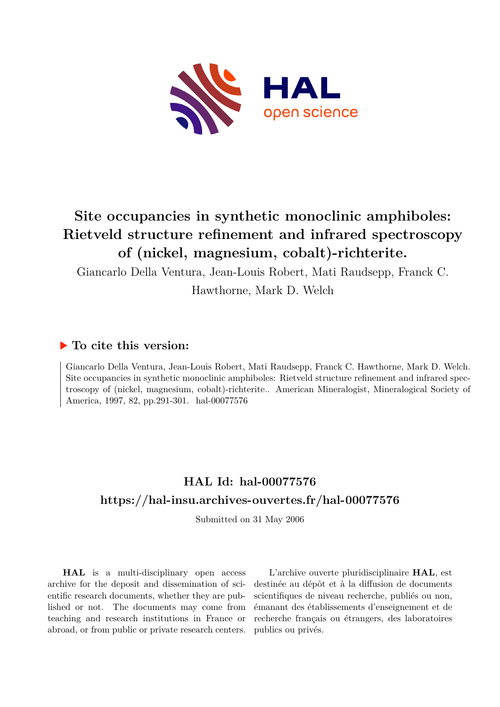

# **Site occupancies in synthetic monoclinic amphiboles: Rietveld structure refinement and infrared spectroscopy of (nickel, magnesium, cobalt)-richterite.**

Giancarlo Della Ventura, Jean-Louis Robert, Mati Raudsepp, Franck C.

Hawthorne, Mark D. Welch

## **To cite this version:**

Giancarlo Della Ventura, Jean-Louis Robert, Mati Raudsepp, Franck C. Hawthorne, Mark D. Welch. Site occupancies in synthetic monoclinic amphiboles: Rietveld structure refinement and infrared spectroscopy of (nickel, magnesium, cobalt)-richterite.. American Mineralogist, Mineralogical Society of America, 1997, 82, pp.291-301. hal-00077576

## **HAL Id: hal-00077576 <https://hal-insu.archives-ouvertes.fr/hal-00077576>**

Submitted on 31 May 2006

**HAL** is a multi-disciplinary open access archive for the deposit and dissemination of scientific research documents, whether they are published or not. The documents may come from teaching and research institutions in France or abroad, or from public or private research centers.

L'archive ouverte pluridisciplinaire **HAL**, est destinée au dépôt et à la diffusion de documents scientifiques de niveau recherche, publiés ou non, émanant des établissements d'enseignement et de recherche français ou étrangers, des laboratoires publics ou privés.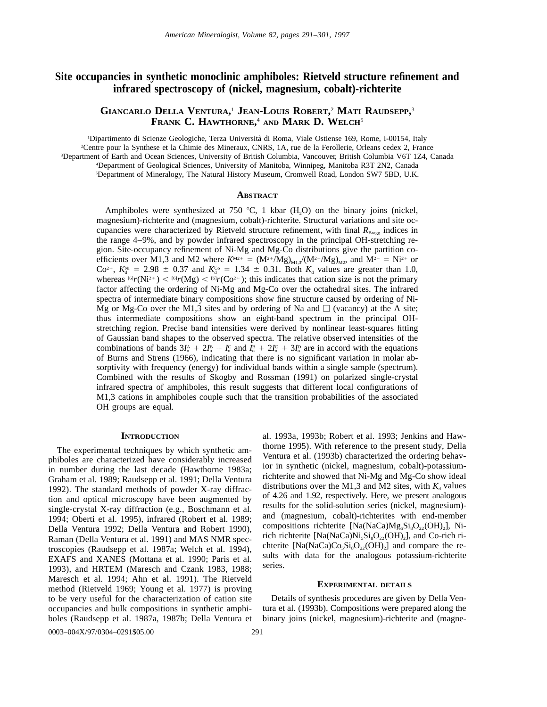## **Site occupancies in synthetic monoclinic amphiboles: Rietveld structure refinement and infrared spectroscopy of (nickel, magnesium, cobalt)-richterite**

### **GIANCARLO DELLA VENTURA,** <sup>1</sup> **JEAN-LOUIS ROBERT,** <sup>2</sup> **MATI RAUDSEPP,** 3 **FRANK C. HAWTHORNE,** <sup>4</sup> **AND MARK D. WELCH**<sup>5</sup>

 Dipartimento di Scienze Geologiche, Terza Universita` di Roma, Viale Ostiense 169, Rome, I-00154, Italy Centre pour la Synthese et la Chimie des Mineraux, CNRS, 1A, rue de la Ferollerie, Orleans cedex 2, France Department of Earth and Ocean Sciences, University of British Columbia, Vancouver, British Columbia V6T 1Z4, Canada Department of Geological Sciences, University of Manitoba, Winnipeg, Manitoba R3T 2N2, Canada Department of Mineralogy, The Natural History Museum, Cromwell Road, London SW7 5BD, U.K.

#### **ABSTRACT**

Amphiboles were synthesized at 750 °C, 1 kbar  $(H_2O)$  on the binary joins (nickel, magnesium)-richterite and (magnesium, cobalt)-richterite. Structural variations and site occupancies were characterized by Rietveld structure refinement, with final R<sub>Bragg</sub> indices in the range 4–9%, and by powder infrared spectroscopy in the principal OH-stretching region. Site-occupancy refinement of Ni-Mg and Mg-Co distributions give the partition coefficients over M1,3 and M2 where  $K^{M2+} = (M^{2+}/Mg)_{M1,3}/(M^{2+}/Mg)_{M2}$ , and  $M^{2+} = Ni^{2+}$  or  $Co^{2+}$ ,  $K_d^{\text{Ni}} = 2.98 \pm 0.37$  and  $K_d^{\text{Co}} = 1.34 \pm 0.31$ . Both  $K_d$  values are greater than 1.0, whereas  $^{[6]}r(Ni^{2+}) < ^{[6]}r(Mg) < ^{[6]}r(Co^{2+})$ ; this indicates that cation size is not the primary factor affecting the ordering of Ni-Mg and Mg-Co over the octahedral sites. The infrared spectra of intermediate binary compositions show fine structure caused by ordering of Ni-Mg or Mg-Co over the M1,3 sites and by ordering of Na and  $\Box$  (vacancy) at the A site; thus intermediate compositions show an eight-band spectrum in the principal OHstretching region. Precise band intensities were derived by nonlinear least-squares fitting of Gaussian band shapes to the observed spectra. The relative observed intensities of the combinations of bands  $3I_0^A + 2I_0^B + I_0^C$  and  $I_0^B + 2I_0^C + 3I_0^D$  are in accord with the equations of Burns and Strens (1966), indicating that there is no significant variation in molar absorptivity with frequency (energy) for individual bands within a single sample (spectrum). Combined with the results of Skogby and Rossman (1991) on polarized single-crystal infrared spectra of amphiboles, this result suggests that different local configurations of M1,3 cations in amphiboles couple such that the transition probabilities of the associated OH groups are equal.

#### **INTRODUCTION**

The experimental techniques by which synthetic amphiboles are characterized have considerably increased in number during the last decade (Hawthorne 1983a; Graham et al. 1989; Raudsepp et al. 1991; Della Ventura 1992). The standard methods of powder X-ray diffraction and optical microscopy have been augmented by single-crystal X-ray diffraction (e.g., Boschmann et al. 1994; Oberti et al. 1995), infrared (Robert et al. 1989; Della Ventura 1992; Della Ventura and Robert 1990), Raman (Della Ventura et al. 1991) and MAS NMR spectroscopies (Raudsepp et al. 1987a; Welch et al. 1994), EXAFS and XANES (Mottana et al. 1990; Paris et al. 1993), and HRTEM (Maresch and Czank 1983, 1988; Maresch et al. 1994; Ahn et al. 1991). The Rietveld method (Rietveld 1969; Young et al. 1977) is proving to be very useful for the characterization of cation site occupancies and bulk compositions in synthetic amphiboles (Raudsepp et al. 1987a, 1987b; Della Ventura et

al. 1993a, 1993b; Robert et al. 1993; Jenkins and Hawthorne 1995). With reference to the present study, Della Ventura et al. (1993b) characterized the ordering behavior in synthetic (nickel, magnesium, cobalt)-potassiumrichterite and showed that Ni-Mg and Mg-Co show ideal distributions over the M1,3 and M2 sites, with  $K_d$  values of 4.26 and 1.92, respectively. Here, we present analogous results for the solid-solution series (nickel, magnesium) and (magnesium, cobalt)-richterites with end-member compositions richterite [Na(NaCa)Mg<sub>5</sub>Si<sub>8</sub>O<sub>22</sub>(OH)<sub>2</sub>], Nirich richterite [Na(NaCa)Ni<sub>5</sub>Si<sub>8</sub>O<sub>22</sub>(OH)<sub>2</sub>], and Co-rich richterite [Na(NaCa)Co<sub>5</sub>Si<sub>8</sub>O<sub>22</sub>(OH)<sub>2</sub>] and compare the results with data for the analogous potassium-richterite series.

#### **EXPERIMENTAL DETAILS**

Details of synthesis procedures are given by Della Ventura et al. (1993b). Compositions were prepared along the binary joins (nickel, magnesium)-richterite and (magne-

0003–004X/97/0304–0291\$05.00 291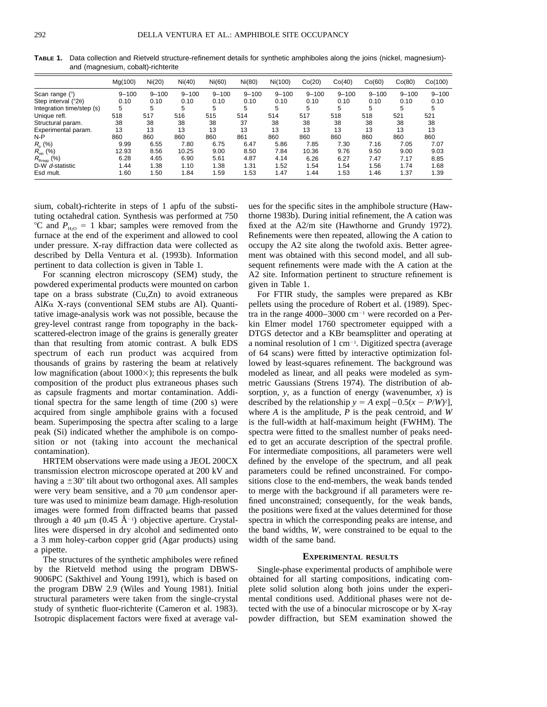|                                   | Mg(100)   | Ni(20)    | Ni(40)    | Ni(60)    | Ni(80)    | Ni(100)   | Co(20)    | Co(40)    | Co(60)    | Co(80)    | Co(100)   |
|-----------------------------------|-----------|-----------|-----------|-----------|-----------|-----------|-----------|-----------|-----------|-----------|-----------|
| Scan range $(°)$                  | $9 - 100$ | $9 - 100$ | $9 - 100$ | $9 - 100$ | $9 - 100$ | $9 - 100$ | $9 - 100$ | $9 - 100$ | $9 - 100$ | $9 - 100$ | $9 - 100$ |
| Step interval $(^{\circ}2\theta)$ | 0.10      | 0.10      | 0.10      | 0.10      | 0.10      | 0.10      | 0.10      | 0.10      | 0.10      | 0.10      | 0.10      |
| Integration time/step (s)         | 5         | 5         | 5         | 5         | 5         | 5         | 5         | 5         | 5         | 5         | 5         |
| Unique refl.                      | 518       | 517       | 516       | 515       | 514       | 514       | 517       | 518       | 518       | 521       | 521       |
| Structural param.                 | 38        | 38        | 38        | 38        | 37        | 38        | 38        | 38        | 38        | 38        | 38        |
| Experimental param.               | 13        | 13        | 13        | 13        | 13        | 13        | 13        | 13        | 13        | 13        | 13        |
| $N-P$                             | 860       | 860       | 860       | 860       | 861       | 860       | 860       | 860       | 860       | 860       | 860       |
| $R_{0}$ (%)                       | 9.99      | 6.55      | 7.80      | 6.75      | 6.47      | 5.86      | 7.85      | 7.30      | 7.16      | 7.05      | 7.07      |
| $R_{wp}$ (%)                      | 12.93     | 8.56      | 10.25     | 9.00      | 8.50      | 7.84      | 10.36     | 9.76      | 9.50      | 9.00      | 9.03      |
| (%)<br>$R_{\text{Bragg}}$         | 6.28      | 4.65      | 6.90      | 5.61      | 4.87      | 4.14      | 6.26      | 6.27      | 7.47      | 7.17      | 8.85      |
| $D-W$<br>d-statistic              | 1.44      | 1.38      | 1.10      | 1.38      | 1.31      | 1.52      | 1.54      | 1.54      | 1.56      | 1.74      | 1.68      |
| Esd mult.                         | 1.60      | 1.50      | 1.84      | i.59      | 1.53      | 1.47      | 1.44      | 1.53      | 1.46      | 1.37      | 1.39      |

**TABLE 1.** Data collection and Rietveld structure-refinement details for synthetic amphiboles along the joins (nickel, magnesium) and (magnesium, cobalt)-richterite

sium, cobalt)-richterite in steps of 1 apfu of the substituting octahedral cation. Synthesis was performed at 750 <sup>o</sup>C and  $P_{H<sub>3</sub>}$  = 1 kbar; samples were removed from the furnace at the end of the experiment and allowed to cool under pressure. X-ray diffraction data were collected as described by Della Ventura et al. (1993b). Information pertinent to data collection is given in Table 1.

For scanning electron microscopy (SEM) study, the powdered experimental products were mounted on carbon tape on a brass substrate (Cu,Zn) to avoid extraneous Al*K*a X-rays (conventional SEM stubs are Al). Quantitative image-analysis work was not possible, because the grey-level contrast range from topography in the backscattered-electron image of the grains is generally greater than that resulting from atomic contrast. A bulk EDS spectrum of each run product was acquired from thousands of grains by rastering the beam at relatively low magnification (about  $1000\times$ ); this represents the bulk composition of the product plus extraneous phases such as capsule fragments and mortar contamination. Additional spectra for the same length of time (200 s) were acquired from single amphibole grains with a focused beam. Superimposing the spectra after scaling to a large peak (Si) indicated whether the amphibole is on composition or not (taking into account the mechanical contamination).

HRTEM observations were made using a JEOL 200CX transmission electron microscope operated at 200 kV and having a  $\pm 30^\circ$  tilt about two orthogonal axes. All samples were very beam sensitive, and a  $70 \mu m$  condensor aperture was used to minimize beam damage. High-resolution images were formed from diffracted beams that passed through a 40  $\mu$ m (0.45 Å<sup>-1</sup>) objective aperture. Crystallites were dispersed in dry alcohol and sedimented onto a 3 mm holey-carbon copper grid (Agar products) using a pipette.

The structures of the synthetic amphiboles were refined by the Rietveld method using the program DBWS-9006PC (Sakthivel and Young 1991), which is based on the program DBW 2.9 (Wiles and Young 1981). Initial structural parameters were taken from the single-crystal study of synthetic fluor-richterite (Cameron et al. 1983). Isotropic displacement factors were fixed at average values for the specific sites in the amphibole structure (Hawthorne 1983b). During initial refinement, the A cation was fixed at the A2/m site (Hawthorne and Grundy 1972). Refinements were then repeated, allowing the A cation to occupy the A2 site along the twofold axis. Better agreement was obtained with this second model, and all subsequent refinements were made with the A cation at the A2 site. Information pertinent to structure refinement is given in Table 1.

For FTIR study, the samples were prepared as KBr pellets using the procedure of Robert et al. (1989). Spectra in the range  $4000-3000$  cm<sup>-1</sup> were recorded on a Perkin Elmer model 1760 spectrometer equipped with a DTGS detector and a KBr beamsplitter and operating at a nominal resolution of 1 cm<sup>-1</sup>. Digitized spectra (average of 64 scans) were fitted by interactive optimization followed by least-squares refinement. The background was modeled as linear, and all peaks were modeled as symmetric Gaussians (Strens 1974). The distribution of absorption, *y,* as a function of energy (wavenumber, *x*) is described by the relationship  $y = A \exp[-0.5(x - P/W)^2]$ , where *A* is the amplitude, *P* is the peak centroid, and *W* is the full-width at half-maximum height (FWHM). The spectra were fitted to the smallest number of peaks needed to get an accurate description of the spectral profile. For intermediate compositions, all parameters were well defined by the envelope of the spectrum, and all peak parameters could be refined unconstrained. For compositions close to the end-members, the weak bands tended to merge with the background if all parameters were refined unconstrained; consequently, for the weak bands, the positions were fixed at the values determined for those spectra in which the corresponding peaks are intense, and the band widths, *W,* were constrained to be equal to the width of the same band.

#### **EXPERIMENTAL RESULTS**

Single-phase experimental products of amphibole were obtained for all starting compositions, indicating complete solid solution along both joins under the experimental conditions used. Additional phases were not detected with the use of a binocular microscope or by X-ray powder diffraction, but SEM examination showed the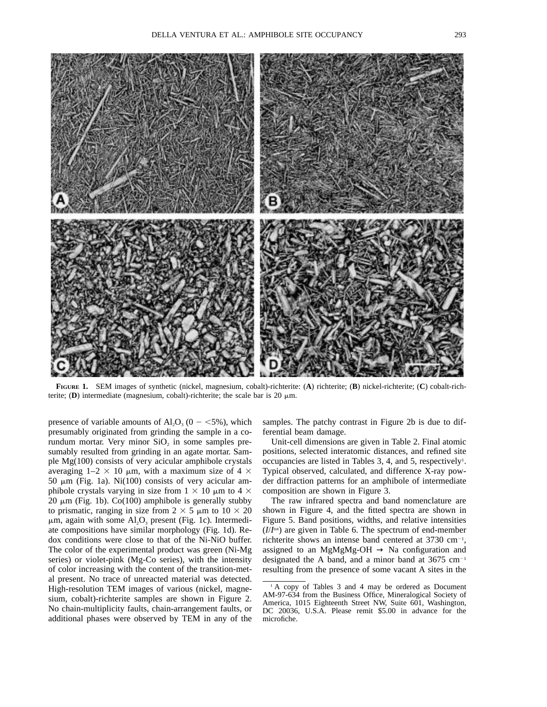

**FIGURE 1.** SEM images of synthetic (nickel, magnesium, cobalt)-richterite: (**A**) richterite; (**B**) nickel-richterite; (**C**) cobalt-richterite; **(D)** intermediate (magnesium, cobalt)-richterite; the scale bar is 20  $\mu$ m.

presence of variable amounts of  $\text{Al}_2\text{O}_3$  (0 - <5%), which presumably originated from grinding the sample in a corundum mortar. Very minor  $SiO<sub>2</sub>$  in some samples presumably resulted from grinding in an agate mortar. Sample Mg(100) consists of very acicular amphibole crystals averaging  $1-2 \times 10 \mu m$ , with a maximum size of 4  $\times$ 50  $\mu$ m (Fig. 1a). Ni(100) consists of very acicular amphibole crystals varying in size from  $1 \times 10 \mu m$  to  $4 \times$  $20 \mu m$  (Fig. 1b). Co(100) amphibole is generally stubby to prismatic, ranging in size from  $2 \times 5 \mu m$  to  $10 \times 20$  $\mu$ m, again with some Al<sub>2</sub>O<sub>3</sub> present (Fig. 1c). Intermediate compositions have similar morphology (Fig. 1d). Redox conditions were close to that of the Ni-NiO buffer. The color of the experimental product was green (Ni-Mg series) or violet-pink (Mg-Co series), with the intensity of color increasing with the content of the transition-metal present. No trace of unreacted material was detected. High-resolution TEM images of various (nickel, magnesium, cobalt)-richterite samples are shown in Figure 2. No chain-multiplicity faults, chain-arrangement faults, or additional phases were observed by TEM in any of the samples. The patchy contrast in Figure 2b is due to differential beam damage.

Unit-cell dimensions are given in Table 2. Final atomic positions, selected interatomic distances, and refined site occupancies are listed in Tables 3, 4, and 5, respectively<sup>1</sup>. Typical observed, calculated, and difference X-ray powder diffraction patterns for an amphibole of intermediate composition are shown in Figure 3.

The raw infrared spectra and band nomenclature are shown in Figure 4, and the fitted spectra are shown in Figure 5. Band positions, widths, and relative intensities  $(I/I<sup>tot</sup>)$  are given in Table 6. The spectrum of end-member richterite shows an intense band centered at  $3730 \text{ cm}^{-1}$ , assigned to an MgMgMg-OH  $\rightarrow$  Na configuration and designated the A band, and a minor band at  $3675 \text{ cm}^{-1}$ resulting from the presence of some vacant A sites in the

<sup>1</sup> A copy of Tables 3 and 4 may be ordered as Document AM-97-634 from the Business Office, Mineralogical Society of America, 1015 Eighteenth Street NW, Suite 601, Washington, DC 20036, U.S.A. Please remit \$5.00 in advance for the microfiche.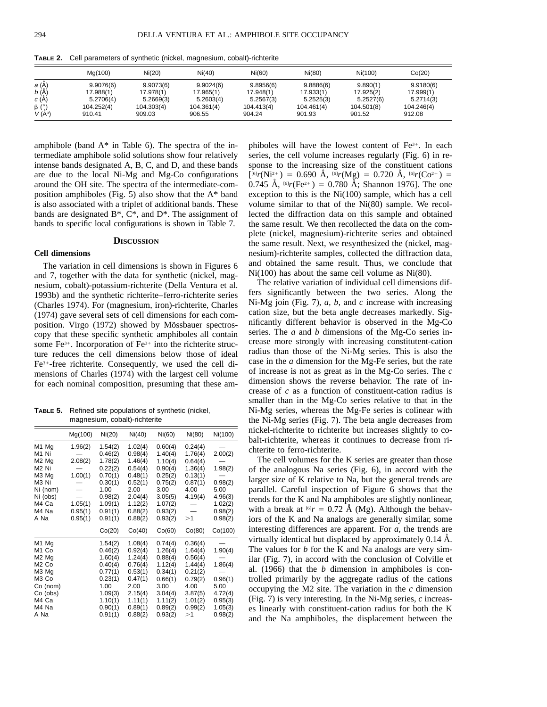|                                      | Mg(100)                | Ni(20)                 | Ni(40)                 | Ni(60)                 | Ni(80)                 | Ni(100)               | Co(20)                 |
|--------------------------------------|------------------------|------------------------|------------------------|------------------------|------------------------|-----------------------|------------------------|
| <i>a</i> (Å)<br><i>b</i> (Å)         | 9.9076(6)<br>17.988(1) | 9.9073(6)<br>17.978(1) | 9.9024(6)<br>17.965(1) | 9.8956(6)<br>17.948(1) | 9.8886(6)<br>17.933(1) | 9.890(1)<br>17.925(2) | 9.9180(6)<br>17.999(1) |
| c(A)                                 | 5.2706(4)              | 5.2669(3)              | 5.2603(4)              | 5.2567(3)              | 5.2525(3)              | 5.2527(6)             | 5.2714(3)              |
| $\beta$ ( $^{\circ}$ )<br>$V(\AA^3)$ | 104.252(4)<br>910.41   | 104.303(4)<br>909.03   | 104.361(4)<br>906.55   | 104.413(4)<br>904.24   | 104.461(4)<br>901.93   | 104.501(8)<br>901.52  | 104.246(4)<br>912.08   |

**TABLE 2.** Cell parameters of synthetic (nickel, magnesium, cobalt)-richterite

amphibole (band  $A^*$  in Table 6). The spectra of the intermediate amphibole solid solutions show four relatively intense bands designated A, B, C, and D, and these bands are due to the local Ni-Mg and Mg-Co configurations around the OH site. The spectra of the intermediate-composition amphiboles (Fig. 5) also show that the A\* band is also associated with a triplet of additional bands. These bands are designated  $B^*$ ,  $C^*$ , and  $D^*$ . The assignment of bands to specific local configurations is shown in Table 7.

#### **DISCUSSION**

#### **Cell dimensions**

The variation in cell dimensions is shown in Figures 6 and 7, together with the data for synthetic (nickel, magnesium, cobalt)-potassium-richterite (Della Ventura et al. 1993b) and the synthetic richterite–ferro-richterite series (Charles 1974). For (magnesium, iron)-richterite, Charles (1974) gave several sets of cell dimensions for each composition. Virgo (1972) showed by Mössbauer spectroscopy that these specific synthetic amphiboles all contain some  $Fe<sup>3+</sup>$ . Incorporation of  $Fe<sup>3+</sup>$  into the richterite structure reduces the cell dimensions below those of ideal Fe<sup>3+</sup>-free richterite. Consequently, we used the cell dimensions of Charles (1974) with the largest cell volume for each nominal composition, presuming that these am-

**TABLE 5.** Refined site populations of synthetic (nickel, magnesium, cobalt)-richterite

|                               | Mg(100) | Ni(20)  | Ni(40)  | Ni(60)  | Ni(80)  | Ni(100) |
|-------------------------------|---------|---------|---------|---------|---------|---------|
| M1 Mg                         | 1.96(2) | 1.54(2) | 1.02(4) | 0.60(4) | 0.24(4) |         |
| M1 Ni                         |         | 0.46(2) | 0.98(4) | 1.40(4) | 1.76(4) | 2.00(2) |
| M <sub>2</sub> M <sub>q</sub> | 2.08(2) | 1.78(2) | 1.46(4) | 1.10(4) | 0.64(4) |         |
| M <sub>2</sub> Ni             |         | 0.22(2) | 0.54(4) | 0.90(4) | 1.36(4) | 1.98(2) |
| M3 Mg                         | 1.00(1) | 0.70(1) | 0.48(1) | 0.25(2) | 0.13(1) |         |
| M3 Ni                         |         | 0.30(1) | 0.52(1) | 0.75(2) | 0.87(1) | 0.98(2) |
| Ni (nom)                      |         | 1.00    | 2.00    | 3.00    | 4.00    | 5.00    |
| Ni (obs)                      |         | 0.98(2) | 2.04(4) | 3.05(5) | 4.19(4) | 4.96(3) |
| M4 Ca                         | 1.05(1) | 1.09(1) | 1.12(2) | 1.07(2) |         | 1.02(2) |
| M4 Na                         | 0.95(1) | 0.91(1) | 0.88(2) | 0.93(2) |         | 0.98(2) |
| A Na                          | 0.95(1) | 0.91(1) | 0.88(2) | 0.93(2) | >1      | 0.98(2) |
|                               |         | Co(20)  | Co(40)  | Co(60)  | Co(80)  | Co(100) |
| M <sub>1</sub> Mg             |         | 1.54(2) | 1.08(4) | 0.74(4) | 0.36(4) |         |
| M <sub>1</sub> Co             |         | 0.46(2) | 0.92(4) | 1.26(4) | 1.64(4) | 1.90(4) |
| M <sub>2</sub> M <sub>q</sub> |         | 1.60(4) | 1.24(4) | 0.88(4) | 0.56(4) |         |
| M <sub>2</sub> Co             |         | 0.40(4) | 0.76(4) | 1.12(4) | 1.44(4) | 1.86(4) |
| M3 Mg                         |         | 0.77(1) | 0.53(1) | 0.34(1) | 0.21(2) |         |
| M <sub>3</sub> Co             |         | 0.23(1) | 0.47(1) | 0.66(1) | 0.79(2) | 0.96(1) |
| Co (nom)                      |         | 1.00    | 2.00    | 3.00    | 4.00    | 5.00    |
| Co (obs)                      |         | 1.09(3) | 2.15(4) | 3.04(4) | 3.87(5) | 4.72(4) |
| M4 Ca                         |         | 1.10(1) | 1.11(1) | 1.11(2) | 1.01(2) | 0.95(3) |
| M4 Na                         |         | 0.90(1) | 0.89(1) | 0.89(2) | 0.99(2) | 1.05(3) |
| A Na                          |         | 0.91(1) | 0.88(2) | 0.93(2) | >1      | 0.98(2) |
|                               |         |         |         |         |         |         |

phiboles will have the lowest content of  $Fe<sup>3+</sup>$ . In each series, the cell volume increases regularly (Fig. 6) in response to the increasing size of the constituent cations  $[{}^{[6]}r(Ni^{2+}) = 0.690 \text{ Å}, {}^{[6]}r(Mg) = 0.720 \text{ Å}, {}^{[6]}r(Co^{2+}) =$ 0.745 Å,  $^{[6]}r$ (Fe<sup>2+</sup>) = 0.780 Å; Shannon 1976]. The one exception to this is the Ni(100) sample, which has a cell volume similar to that of the Ni(80) sample. We recollected the diffraction data on this sample and obtained the same result. We then recollected the data on the complete (nickel, magnesium)-richterite series and obtained the same result. Next, we resynthesized the (nickel, magnesium)-richterite samples, collected the diffraction data, and obtained the same result. Thus, we conclude that Ni(100) has about the same cell volume as Ni(80).

The relative variation of individual cell dimensions differs significantly between the two series. Along the Ni-Mg join (Fig. 7), *a, b,* and *c* increase with increasing cation size, but the beta angle decreases markedly. Significantly different behavior is observed in the Mg-Co series. The *a* and *b* dimensions of the Mg-Co series increase more strongly with increasing constitutent-cation radius than those of the Ni-Mg series. This is also the case in the *a* dimension for the Mg-Fe series, but the rate of increase is not as great as in the Mg-Co series. The *c* dimension shows the reverse behavior. The rate of increase of *c* as a function of constituent-cation radius is smaller than in the Mg-Co series relative to that in the Ni-Mg series, whereas the Mg-Fe series is colinear with the Ni-Mg series (Fig. 7). The beta angle decreases from nickel-richterite to richterite but increases slightly to cobalt-richterite, whereas it continues to decrease from richterite to ferro-richterite.

The cell volumes for the K series are greater than those of the analogous Na series (Fig. 6), in accord with the larger size of K relative to Na, but the general trends are parallel. Careful inspection of Figure 6 shows that the trends for the K and Na amphiboles are slightly nonlinear, with a break at  $[6]$ *r* = 0.72 Å (Mg). Although the behaviors of the K and Na analogs are generally similar, some interesting differences are apparent. For *a,* the trends are virtually identical but displaced by approximately 0.14 Å. The values for *b* for the K and Na analogs are very similar (Fig. 7), in accord with the conclusion of Colville et al. (1966) that the *b* dimension in amphiboles is controlled primarily by the aggregate radius of the cations occupying the M2 site. The variation in the *c* dimension (Fig. 7) is very interesting. In the Ni-Mg series, *c* increases linearly with constituent-cation radius for both the K and the Na amphiboles, the displacement between the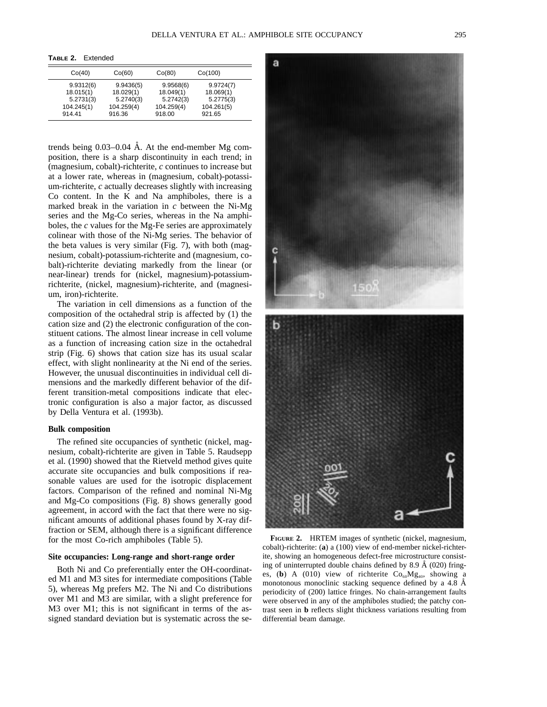**TABLE 2.** Extended

| Co(40)                                                      | Co(60)                                                      | Co(80)                                                      | Co(100)                                                     |
|-------------------------------------------------------------|-------------------------------------------------------------|-------------------------------------------------------------|-------------------------------------------------------------|
| 9.9312(6)<br>18.015(1)<br>5.2731(3)<br>104.245(1)<br>914.41 | 9.9436(5)<br>18.029(1)<br>5.2740(3)<br>104.259(4)<br>916.36 | 9.9568(6)<br>18.049(1)<br>5.2742(3)<br>104.259(4)<br>918.00 | 9.9724(7)<br>18.069(1)<br>5.2775(3)<br>104.261(5)<br>921.65 |

trends being  $0.03-0.04$  Å. At the end-member Mg composition, there is a sharp discontinuity in each trend; in (magnesium, cobalt)-richterite, *c* continues to increase but at a lower rate, whereas in (magnesium, cobalt)-potassium-richterite, *c* actually decreases slightly with increasing Co content. In the K and Na amphiboles, there is a marked break in the variation in *c* between the Ni-Mg series and the Mg-Co series, whereas in the Na amphiboles, the *c* values for the Mg-Fe series are approximately colinear with those of the Ni-Mg series. The behavior of the beta values is very similar (Fig. 7), with both (magnesium, cobalt)-potassium-richterite and (magnesium, cobalt)-richterite deviating markedly from the linear (or near-linear) trends for (nickel, magnesium)-potassiumrichterite, (nickel, magnesium)-richterite, and (magnesium, iron)-richterite.

The variation in cell dimensions as a function of the composition of the octahedral strip is affected by (1) the cation size and (2) the electronic configuration of the constituent cations. The almost linear increase in cell volume as a function of increasing cation size in the octahedral strip (Fig. 6) shows that cation size has its usual scalar effect, with slight nonlinearity at the Ni end of the series. However, the unusual discontinuities in individual cell dimensions and the markedly different behavior of the different transition-metal compositions indicate that electronic configuration is also a major factor, as discussed by Della Ventura et al. (1993b).

#### **Bulk composition**

The refined site occupancies of synthetic (nickel, magnesium, cobalt)-richterite are given in Table 5. Raudsepp et al. (1990) showed that the Rietveld method gives quite accurate site occupancies and bulk compositions if reasonable values are used for the isotropic displacement factors. Comparison of the refined and nominal Ni-Mg and Mg-Co compositions (Fig. 8) shows generally good agreement, in accord with the fact that there were no significant amounts of additional phases found by X-ray diffraction or SEM, although there is a significant difference for the most Co-rich amphiboles (Table 5).

#### **Site occupancies: Long-range and short-range order**

Both Ni and Co preferentially enter the OH-coordinated M1 and M3 sites for intermediate compositions (Table 5), whereas Mg prefers M2. The Ni and Co distributions over M1 and M3 are similar, with a slight preference for M3 over M1; this is not significant in terms of the assigned standard deviation but is systematic across the se-



**FIGURE 2.** HRTEM images of synthetic (nickel, magnesium, cobalt)-richterite: (**a**) a (100) view of end-member nickel-richterite, showing an homogeneous defect-free microstructure consisting of uninterrupted double chains defined by 8.9  $\AA$  (020) fringes, (**b**) A (010) view of richterite  $Co<sub>60</sub>Mg<sub>40</sub>$ , showing a monotonous monoclinic stacking sequence defined by a 4.8 Å periodicity of (200) lattice fringes. No chain-arrangement faults were observed in any of the amphiboles studied; the patchy contrast seen in **b** reflects slight thickness variations resulting from differential beam damage.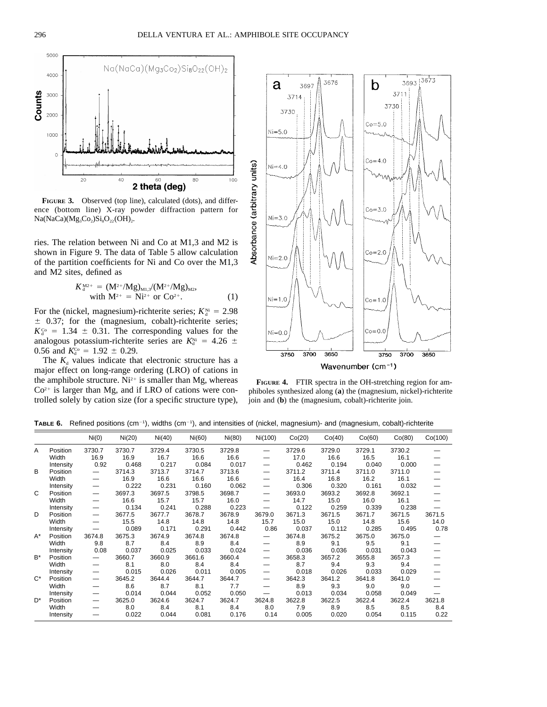

**FIGURE 3.** Observed (top line), calculated (dots), and difference (bottom line) X-ray powder diffraction pattern for  $Na(NaCa)(Mg_3Co_2)Si_8O_{22}(OH)_{2}.$ 

ries. The relation between Ni and Co at M1,3 and M2 is shown in Figure 9. The data of Table 5 allow calculation of the partition coefficients for Ni and Co over the M1,3 and M2 sites, defined as

$$
K_{d}^{M2+} = (M^{2+}/Mg)_{M1,3}/(M^{2+}/Mg)_{M2},
$$
  
with  $M^{2+} = Ni^{2+}$  or  $Co^{2+}$ . (1)

For the (nickel, magnesium)-richterite series;  $K_d^{\text{Ni}} = 2.98$  $\pm$  0.37; for the (magnesium, cobalt)-richterite series;  $K_d^{\text{Co}} = 1.34 \pm 0.31$ . The corresponding values for the analogous potassium-richterite series are  $K_d^{\text{Ni}} = 4.26 \pm 1.00$ 0.56 and  $K_{d}^{\text{Co}} = 1.92 \pm 0.29$ .

The  $K_d$  values indicate that electronic structure has a major effect on long-range ordering (LRO) of cations in the amphibole structure.  $Ni^{2+}$  is smaller than Mg, whereas  $Co<sup>2+</sup>$  is larger than Mg, and if LRO of cations were controlled solely by cation size (for a specific structure type),



Wavenumber (cm<sup>-1</sup>)

**FIGURE 4.** FTIR spectra in the OH-stretching region for amphiboles synthesized along (**a**) the (magnesium, nickel)-richterite join and (**b**) the (magnesium, cobalt)-richterite join.

TABLE 6. Refined positions (cm<sup>-1</sup>), widths (cm<sup>-1</sup>), and intensities of (nickel, magnesium)- and (magnesium, cobalt)-richterite

|                |           | Ni(0)                    | Ni(20) | Ni(40) | Ni(60) | Ni(80) | Ni(100)                  | Co(20) | Co(40) | Co(60) | Co(80) | Co(100) |
|----------------|-----------|--------------------------|--------|--------|--------|--------|--------------------------|--------|--------|--------|--------|---------|
| A              | Position  | 3730.7                   | 3730.7 | 3729.4 | 3730.5 | 3729.8 |                          | 3729.6 | 3729.0 | 3729.1 | 3730.2 |         |
|                | Width     | 16.9                     | 16.9   | 16.7   | 16.6   | 16.6   |                          | 17.0   | 16.6   | 16.5   | 16.1   |         |
|                | Intensity | 0.92                     | 0.468  | 0.217  | 0.084  | 0.017  |                          | 0.462  | 0.194  | 0.040  | 0.000  |         |
| B              | Position  |                          | 3714.3 | 3713.7 | 3714.7 | 3713.6 | —                        | 3711.2 | 3711.4 | 3711.0 | 3711.0 |         |
|                | Width     | $\overline{\phantom{0}}$ | 16.9   | 16.6   | 16.6   | 16.6   |                          | 16.4   | 16.8   | 16.2   | 16.1   |         |
|                | Intensity | —                        | 0.222  | 0.231  | 0.160  | 0.062  | —                        | 0.306  | 0.320  | 0.161  | 0.032  |         |
| C              | Position  |                          | 3697.3 | 3697.5 | 3798.5 | 3698.7 | —                        | 3693.0 | 3693.2 | 3692.8 | 3692.1 |         |
|                | Width     | —                        | 16.6   | 15.7   | 15.7   | 16.0   |                          | 14.7   | 15.0   | 16.0   | 16.1   |         |
|                | Intensity | $\overline{\phantom{0}}$ | 0.134  | 0.241  | 0.288  | 0.223  | —                        | 0.122  | 0.259  | 0.339  | 0.238  |         |
| D              | Position  | $\overline{\phantom{0}}$ | 3677.5 | 3677.7 | 3678.7 | 3678.9 | 3679.0                   | 3671.3 | 3671.5 | 3671.7 | 3671.5 | 3671.5  |
|                | Width     | $\overline{\phantom{0}}$ | 15.5   | 14.8   | 14.8   | 14.8   | 15.7                     | 15.0   | 15.0   | 14.8   | 15.6   | 14.0    |
|                | Intensity |                          | 0.089  | 0.171  | 0.291  | 0.442  | 0.86                     | 0.037  | 0.112  | 0.285  | 0.495  | 0.78    |
| A*             | Position  | 3674.8                   | 3675.3 | 3674.9 | 3674.8 | 3674.8 | $\overline{\phantom{0}}$ | 3674.8 | 3675.2 | 3675.0 | 3675.0 |         |
|                | Width     | 9.8                      | 8.7    | 8.4    | 8.9    | 8.4    |                          | 8.9    | 9.1    | 9.5    | 9.1    |         |
|                | Intensity | 0.08                     | 0.037  | 0.025  | 0.033  | 0.024  |                          | 0.036  | 0.036  | 0.031  | 0.043  |         |
| $B^*$          | Position  |                          | 3660.7 | 3660.9 | 3661.6 | 3660.4 | —                        | 3658.3 | 3657.2 | 3655.8 | 3657.3 |         |
|                | Width     |                          | 8.1    | 8.0    | 8.4    | 8.4    |                          | 8.7    | 9.4    | 9.3    | 9.4    |         |
|                | Intensity | —                        | 0.015  | 0.026  | 0.011  | 0.005  | —                        | 0.018  | 0.026  | 0.033  | 0.029  |         |
| $C^*$          | Position  |                          | 3645.2 | 3644.4 | 3644.7 | 3644.7 |                          | 3642.3 | 3641.2 | 3641.8 | 3641.0 |         |
|                | Width     | —                        | 8.6    | 8.7    | 8.1    | 7.7    |                          | 8.9    | 9.3    | 9.0    | 9.0    |         |
|                | Intensity |                          | 0.014  | 0.044  | 0.052  | 0.050  |                          | 0.013  | 0.034  | 0.058  | 0.049  |         |
| D <sup>*</sup> | Position  | —                        | 3625.0 | 3624.6 | 3624.7 | 3624.7 | 3624.8                   | 3622.8 | 3622.5 | 3622.4 | 3622.4 | 3621.8  |
|                | Width     |                          | 8.0    | 8.4    | 8.1    | 8.4    | 8.0                      | 7.9    | 8.9    | 8.5    | 8.5    | 8.4     |
|                | Intensity |                          | 0.022  | 0.044  | 0.081  | 0.176  | 0.14                     | 0.005  | 0.020  | 0.054  | 0.115  | 0.22    |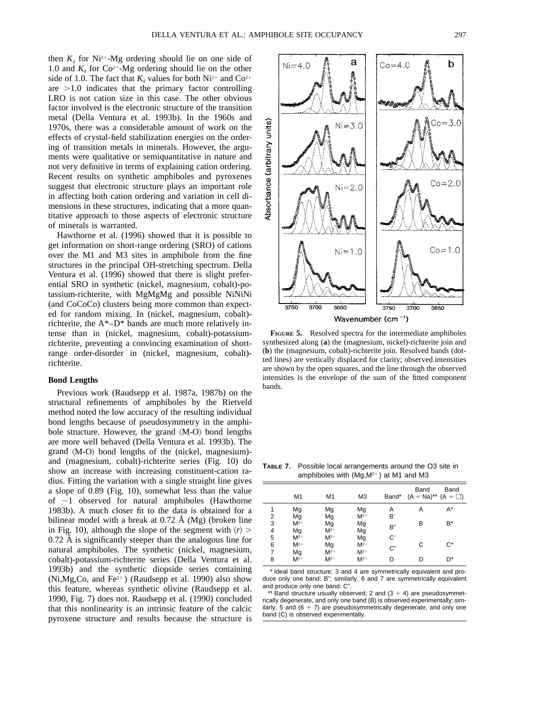then  $K_d$  for Ni<sup>2+</sup>-Mg ordering should lie on one side of 1.0 and  $K_d$  for Co<sup>2+</sup>-Mg ordering should lie on the other side of 1.0. The fact that  $K_d$  values for both Ni<sup>2+</sup> and Co<sup>2+</sup> are  $>1.0$  indicates that the primary factor controlling LRO is not cation size in this case. The other obvious factor involved is the electronic structure of the transition metal (Della Ventura et al. 1993b). In the 1960s and 1970s, there was a considerable amount of work on the effects of crystal-field stabilization energies on the ordering of transition metals in minerals. However, the arguments were qualitative or semiquantitative in nature and not very definitive in terms of explaining cation ordering. Recent results on synthetic amphiboles and pyroxenes suggest that electronic structure plays an important role in affecting both cation ordering and variation in cell dimensions in these structures, indicating that a more quantitative approach to those aspects of electronic structure of minerals is warranted.

Hawthorne et al. (1996) showed that it is possible to get information on short-range ordering (SRO) of cations over the M1 and M3 sites in amphibole from the fine structures in the principal OH-stretching spectrum. Della Ventura et al. (1996) showed that there is slight preferential SRO in synthetic (nickel, magnesium, cobalt)-potassium-richterite, with MgMgMg and possible NiNiNi (and CoCoCo) clusters being more common than expected for random mixing. In (nickel, magnesium, cobalt) richterite, the A\*–D\* bands are much more relatively intense than in (nickel, magnesium, cobalt)-potassiumrichterite, preventing a convincing examination of shortrange order-disorder in (nickel, magnesium, cobalt) richterite.

#### **Bond Lengths**

Previous work (Raudsepp et al. 1987a, 1987b) on the structural refinements of amphiboles by the Rietveld method noted the low accuracy of the resulting individual bond lengths because of pseudosymmetry in the amphibole structure. However, the grand  $\langle M-O \rangle$  bond lengths are more well behaved (Della Ventura et al. 1993b). The grand  $\langle M-O \rangle$  bond lengths of the (nickel, magnesium)and (magnesium, cobalt)-richterite series (Fig. 10) do show an increase with increasing constituent-cation radius. Fitting the variation with a single straight line gives a slope of 0.89 (Fig. 10), somewhat less than the value of  $\sim$ 1 observed for natural amphiboles (Hawthorne 1983b). A much closer fit to the data is obtained for a bilinear model with a break at  $0.72 \text{ Å } (Mg)$  (broken line in Fig. 10), although the slope of the segment with  $\langle r \rangle$  >  $0.72 \text{ Å}$  is significantly steeper than the analogous line for natural amphiboles. The synthetic (nickel, magnesium, cobalt)-potassium-richterite series (Della Ventura et al. 1993b) and the synthetic diopside series containing  $(Ni, Mg, Co, and Fe<sup>2+</sup>)$  (Raudsepp et al. 1990) also show this feature, whereas synthetic olivine (Raudsepp et al. 1990, Fig. 7) does not. Raudsepp et al. (1990) concluded that this nonlinearity is an intrinsic feature of the calcic pyroxene structure and results because the structure is



**FIGURE 5.** Resolved spectra for the intermediate amphiboles synthesized along (**a**) the (magnesium, nickel)-richterite join and (**b**) the (magnesium, cobalt)-richterite join. Resolved bands (dotted lines) are vertically displaced for clarity; observed intensities are shown by the open squares, and the line through the observed intensities is the envelope of the sum of the fitted component bands.

**TABLE 7.** Possible local arrangements around the O3 site in amphiboles with  $(Mg, M^{2+})$  at M1 and M3

|                | M1       | M1       | M <sub>3</sub> | Band* | Band<br>$(A = Na)$ <sup>**</sup> $(A = \Box)$ | Band  |
|----------------|----------|----------|----------------|-------|-----------------------------------------------|-------|
| 1              | Mg       | Mg       | Mg             | Α     | Α                                             | A*    |
| 2              | Mg       | Mg       | $M^{2+}$       | B'    |                                               |       |
| 3              | $M^{2+}$ | Mg       | Mg             | B"    | В                                             | B*    |
| $\overline{4}$ | Mg       | $M^{2+}$ | Mg             |       |                                               |       |
| 5              | $M^{2+}$ | $M^{2+}$ | Mg             | C'    |                                               |       |
| 6              | $M^{2+}$ | Mg       | $M^{2+}$       | C''   | С                                             | $C^*$ |
| 7              | Mg       | $M^{2+}$ | $M^{2+}$       |       |                                               |       |
| 8              | $M^{2+}$ | $M^{2+}$ | $M^{2+}$       | D     | D                                             | D*    |

\* Ideal band structure; 3 and 4 are symmetrically equivalent and produce only one band: B"; similarly, 6 and 7 are symmetrically equivalent and produce only one band: C".

 $*$  Band structure usually observed; 2 and (3  $+$  4) are pseudosymmetrically degenerate, and only one band (B) is observed experimentally; similarly, 5 and  $(6 + 7)$  are pseudosymmetrically degenerate, and only one band (C) is observed experimentally.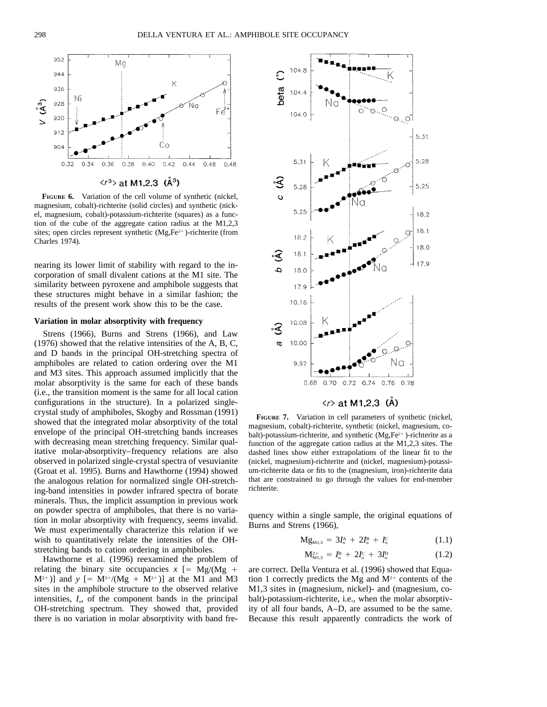

 $\langle r^3 \rangle$  at M1,2,3 (Å<sup>3</sup>)

**FIGURE 6.** Variation of the cell volume of synthetic (nickel, magnesium, cobalt)-richterite (solid circles) and synthetic (nickel, magnesium, cobalt)-potassium-richterite (squares) as a function of the cube of the aggregate cation radius at the M1,2,3 sites; open circles represent synthetic  $(Mg, Fe^{2+})$ -richterite (from Charles 1974).

nearing its lower limit of stability with regard to the incorporation of small divalent cations at the M1 site. The similarity between pyroxene and amphibole suggests that these structures might behave in a similar fashion; the results of the present work show this to be the case.

#### **Variation in molar absorptivity with frequency**

Strens (1966), Burns and Strens (1966), and Law (1976) showed that the relative intensities of the A, B, C, and D bands in the principal OH-stretching spectra of amphiboles are related to cation ordering over the M1 and M3 sites. This approach assumed implicitly that the molar absorptivity is the same for each of these bands (i.e., the transition moment is the same for all local cation configurations in the structure). In a polarized singlecrystal study of amphiboles, Skogby and Rossman (1991) showed that the integrated molar absorptivity of the total envelope of the principal OH-stretching bands increases with decreasing mean stretching frequency. Similar qualitative molar-absorptivity–frequency relations are also observed in polarized single-crystal spectra of vesuvianite (Groat et al. 1995). Burns and Hawthorne (1994) showed the analogous relation for normalized single OH-stretching-band intensities in powder infrared spectra of borate minerals. Thus, the implicit assumption in previous work on powder spectra of amphiboles, that there is no variation in molar absorptivity with frequency, seems invalid. We must experimentally characterize this relation if we wish to quantitatively relate the intensities of the OHstretching bands to cation ordering in amphiboles.

Hawthorne et al. (1996) reexamined the problem of relating the binary site occupancies  $x$  [= Mg/(Mg +  $M^{2+}$ )] and *y* [=  $M^{2+}/(Mg + M^{2+})$ ] at the M1 and M3 sites in the amphibole structure to the observed relative intensities,  $I<sub>o</sub>$ , of the component bands in the principal OH-stretching spectrum. They showed that, provided there is no variation in molar absorptivity with band fre-



### $\langle r \rangle$  at M1,2,3 (Å)

**FIGURE 7.** Variation in cell parameters of synthetic (nickel, magnesium, cobalt)-richterite, synthetic (nickel, magnesium, cobalt)-potassium-richterite, and synthetic  $(Mg,Fe^{2+})$ -richterite as a function of the aggregate cation radius at the M1,2,3 sites. The dashed lines show either extrapolations of the linear fit to the (nickel, magnesium)-richterite and (nickel, magnesium)-potassium-richterite data or fits to the (magnesium, iron)-richterite data that are constrained to go through the values for end-member richterite.

quency within a single sample, the original equations of Burns and Strens (1966),

$$
Mg_{M1,3} = 3I_0^A + 2I_0^B + I_0^C \qquad (1.1)
$$

$$
M_{\rm M1,3}^{2+} = I_{\rm o}^{\rm B} + 2I_{\rm o}^{\rm C} + 3I_{\rm o}^{\rm D} \tag{1.2}
$$

are correct. Della Ventura et al. (1996) showed that Equation 1 correctly predicts the Mg and  $M^{2+}$  contents of the M1,3 sites in (magnesium, nickel)- and (magnesium, cobalt)-potassium-richterite, i.e., when the molar absorptivity of all four bands, A–D, are assumed to be the same. Because this result apparently contradicts the work of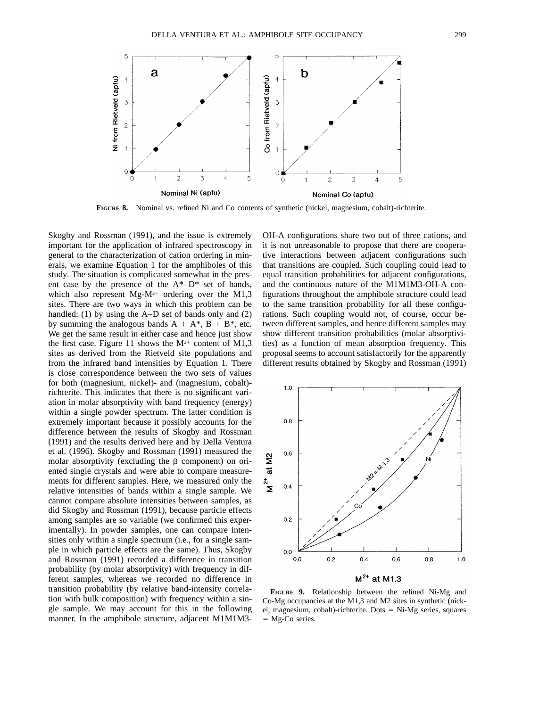

**FIGURE 8.** Nominal vs. refined Ni and Co contents of synthetic (nickel, magnesium, cobalt)-richterite.

Skogby and Rossman (1991), and the issue is extremely important for the application of infrared spectroscopy in general to the characterization of cation ordering in minerals, we examine Equation 1 for the amphiboles of this study. The situation is complicated somewhat in the present case by the presence of the  $A^*-D^*$  set of bands, which also represent  $Mg-M^{2+}$  ordering over the M1,3 sites. There are two ways in which this problem can be handled: (1) by using the A–D set of bands only and (2) by summing the analogous bands  $A + A^*$ ,  $B + B^*$ , etc. We get the same result in either case and hence just show the first case. Figure 11 shows the  $M^{2+}$  content of M1,3 sites as derived from the Rietveld site populations and from the infrared band intensities by Equation 1. There is close correspondence between the two sets of values for both (magnesium, nickel)- and (magnesium, cobalt) richterite. This indicates that there is no significant variation in molar absorptivity with band frequency (energy) within a single powder spectrum. The latter condition is extremely important because it possibly accounts for the difference between the results of Skogby and Rossman (1991) and the results derived here and by Della Ventura et al. (1996). Skogby and Rossman (1991) measured the molar absorptivity (excluding the  $\beta$  component) on oriented single crystals and were able to compare measurements for different samples. Here, we measured only the relative intensities of bands within a single sample. We cannot compare absolute intensities between samples, as did Skogby and Rossman (1991), because particle effects among samples are so variable (we confirmed this experimentally). In powder samples, one can compare intensities only within a single spectrum (i.e., for a single sample in which particle effects are the same). Thus, Skogby and Rossman (1991) recorded a difference in transition probability (by molar absorptivity) with frequency in different samples, whereas we recorded no difference in transition probability (by relative band-intensity correlation with bulk composition) with frequency within a single sample. We may account for this in the following manner. In the amphibole structure, adjacent M1M1M3-

OH-A configurations share two out of three cations, and it is not unreasonable to propose that there are cooperative interactions between adjacent configurations such that transitions are coupled. Such coupling could lead to equal transition probabilities for adjacent configurations, and the continuous nature of the M1M1M3-OH-A configurations throughout the amphibole structure could lead to the same transition probability for all these configurations. Such coupling would not, of course, occur between different samples, and hence different samples may show different transition probabilities (molar absorptivities) as a function of mean absorption frequency. This proposal seems to account satisfactorily for the apparently different results obtained by Skogby and Rossman (1991)



**FIGURE 9.** Relationship between the refined Ni-Mg and Co-Mg occupancies at the M1,3 and M2 sites in synthetic (nickel, magnesium, cobalt)-richterite. Dots  $=$  Ni-Mg series, squares  $=$  Mg-Co series.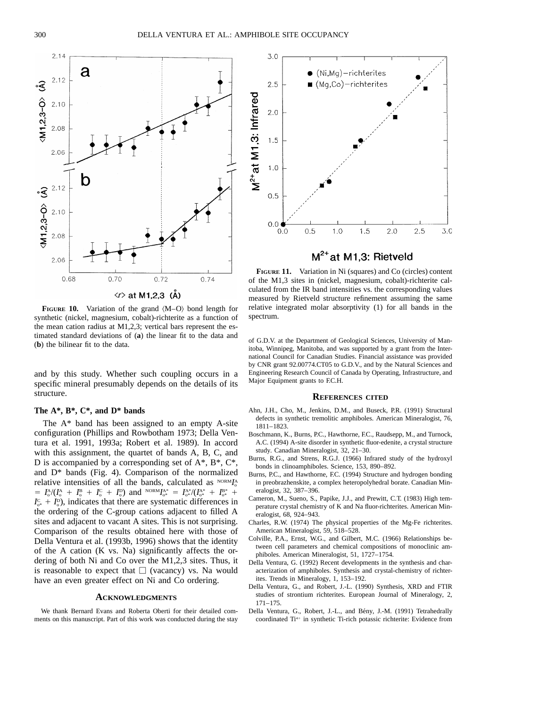

√r> at M1,2,3 (Å)

**FIGURE 10.** Variation of the grand  $\langle M-Q \rangle$  bond length for synthetic (nickel, magnesium, cobalt)-richterite as a function of the mean cation radius at M1,2,3; vertical bars represent the estimated standard deviations of (**a**) the linear fit to the data and (**b**) the bilinear fit to the data.

and by this study. Whether such coupling occurs in a specific mineral presumably depends on the details of its structure.

#### **The A\*, B\*, C\*, and D\* bands**

The A\* band has been assigned to an empty A-site configuration (Phillips and Rowbotham 1973; Della Ventura et al. 1991, 1993a; Robert et al. 1989). In accord with this assignment, the quartet of bands A, B, C, and D is accompanied by a corresponding set of  $A^*$ ,  $B^*$ ,  $C^*$ , and D\* bands (Fig. 4). Comparison of the normalized relative intensities of all the bands, calculated as NORM<sub>I</sub>A  $= I_o^{\text{A}}/(I_o^{\text{A}} + I_o^{\text{B}} + I_o^{\text{C}} + I_o^{\text{D}})$  and  ${}^{\text{NORM}}I_{o^*}^{A^*} = I_{o^*}^{A^*}/(I_{o^*}^{A^*} + I_{o^*}^{B^*} + I_o^{\text{B}})$  $I_{\alpha^*}^{\rm C} + I_{\rm o}^{\rm D}$ , indicates that there are systematic differences in the ordering of the C-group cations adjacent to filled A sites and adjacent to vacant A sites. This is not surprising. Comparison of the results obtained here with those of Della Ventura et al. (1993b, 1996) shows that the identity of the A cation (K vs. Na) significantly affects the ordering of both Ni and Co over the M1,2,3 sites. Thus, it is reasonable to expect that  $\Box$  (vacancy) vs. Na would have an even greater effect on Ni and Co ordering.

#### **ACKNOWLEDGMENTS**

We thank Bernard Evans and Roberta Oberti for their detailed comments on this manuscript. Part of this work was conducted during the stay



 $M^{2+}$ at M1,3: Rietveld

**FIGURE 11.** Variation in Ni (squares) and Co (circles) content of the M1,3 sites in (nickel, magnesium, cobalt)-richterite calculated from the IR band intensities vs. the corresponding values measured by Rietveld structure refinement assuming the same relative integrated molar absorptivity (1) for all bands in the spectrum.

of G.D.V. at the Department of Geological Sciences, University of Manitoba, Winnipeg, Manitoba, and was supported by a grant from the International Council for Canadian Studies. Financial assistance was provided by CNR grant 92.00774.CT05 to G.D.V., and by the Natural Sciences and Engineering Research Council of Canada by Operating, Infrastructure, and Major Equipment grants to F.C.H.

#### **REFERENCES CITED**

- Ahn, J.H., Cho, M., Jenkins, D.M., and Buseck, P.R. (1991) Structural defects in synthetic tremolitic amphiboles. American Mineralogist, 76, 1811–1823.
- Boschmann, K., Burns, P.C., Hawthorne, F.C., Raudsepp, M., and Turnock, A.C. (1994) A-site disorder in synthetic fluor-edenite, a crystal structure study. Canadian Mineralogist, 32, 21–30.
- Burns, R.G., and Strens, R.G.J. (1966) Infrared study of the hydroxyl bonds in clinoamphiboles. Science, 153, 890–892.
- Burns, P.C., and Hawthorne, F.C. (1994) Structure and hydrogen bonding in preobrazhenskite, a complex heteropolyhedral borate. Canadian Mineralogist, 32, 387–396.
- Cameron, M., Sueno, S., Papike, J.J., and Prewitt, C.T. (1983) High temperature crystal chemistry of K and Na fluor-richterites. American Mineralogist, 68, 924–943.
- Charles, R.W. (1974) The physical properties of the Mg-Fe richterites. American Mineralogist, 59, 518–528.
- Colville, P.A., Ernst, W.G., and Gilbert, M.C. (1966) Relationships between cell parameters and chemical compositions of monoclinic amphiboles. American Mineralogist, 51, 1727–1754.
- Della Ventura, G. (1992) Recent developments in the synthesis and characterization of amphiboles. Synthesis and crystal-chemistry of richterites. Trends in Mineralogy, 1, 153–192.
- Della Ventura, G., and Robert, J.-L. (1990) Synthesis, XRD and FTIR studies of strontium richterites. European Journal of Mineralogy, 2, 171–175.
- Della Ventura, G., Robert, J.-L., and Bény, J.-M. (1991) Tetrahedrally coordinated Ti<sup>4+</sup> in synthetic Ti-rich potassic richterite: Evidence from